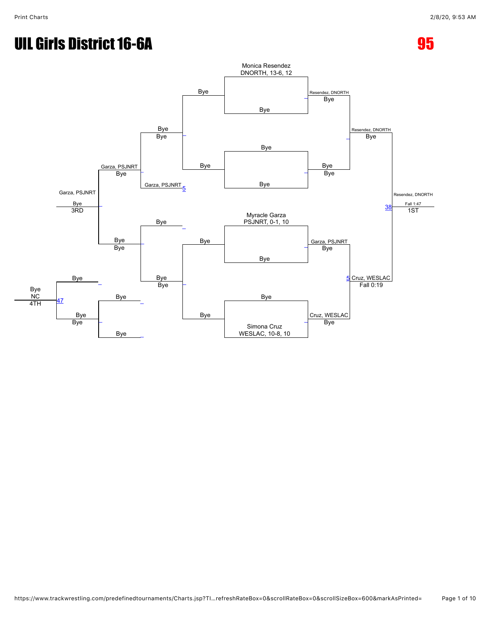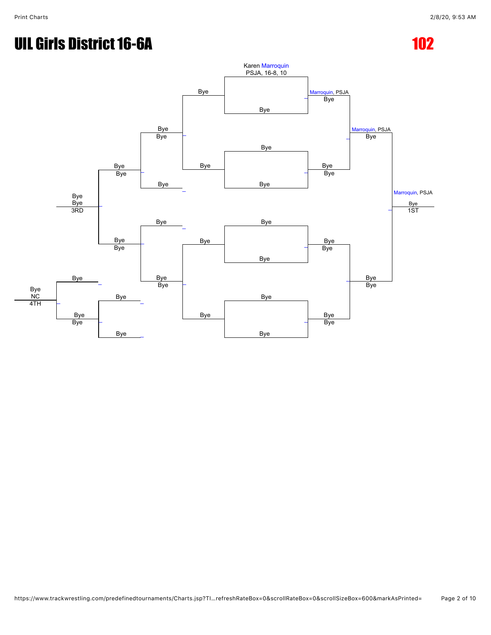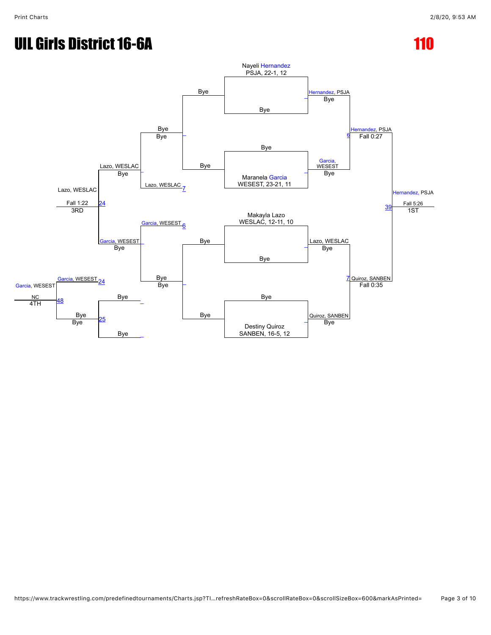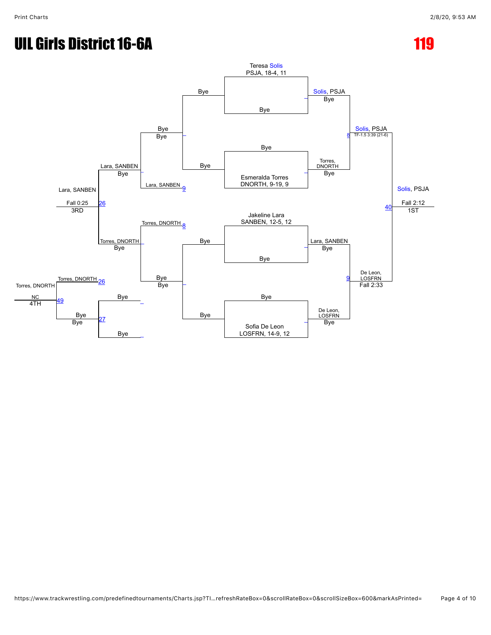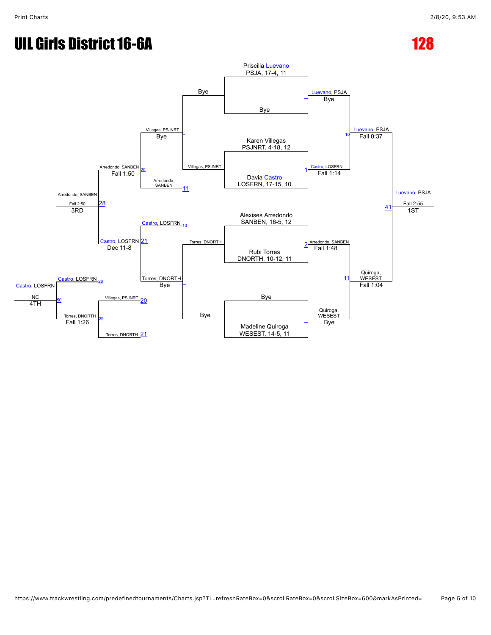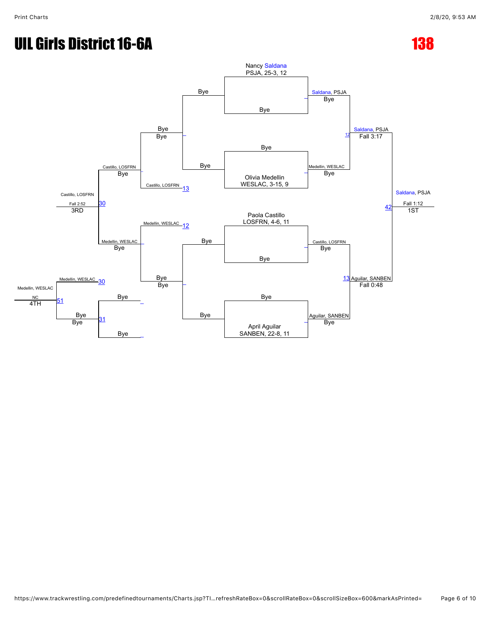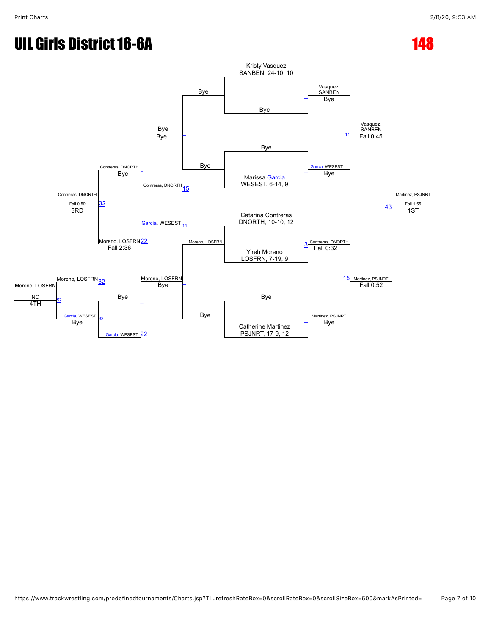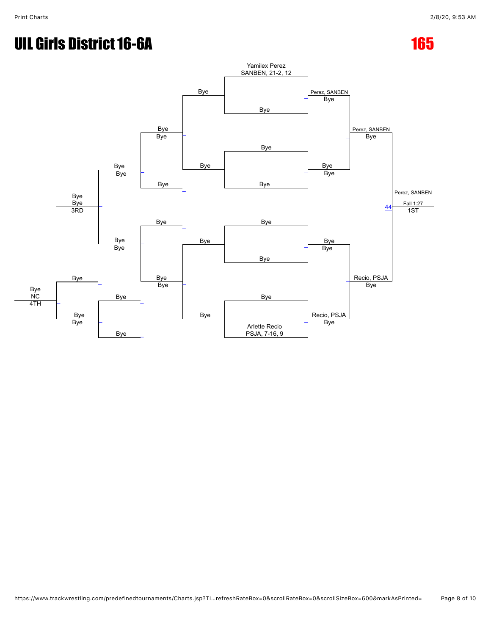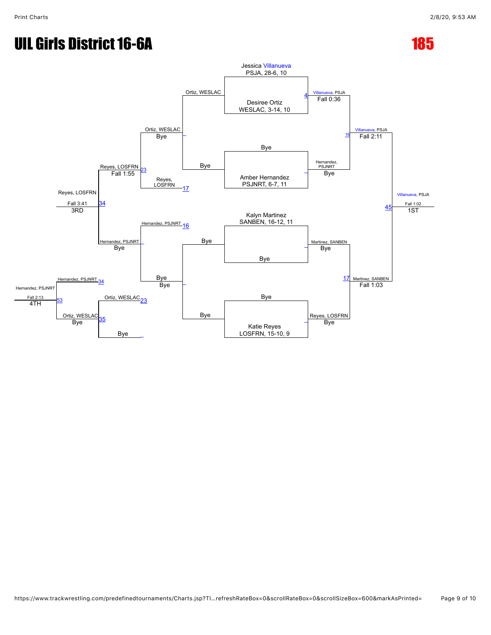